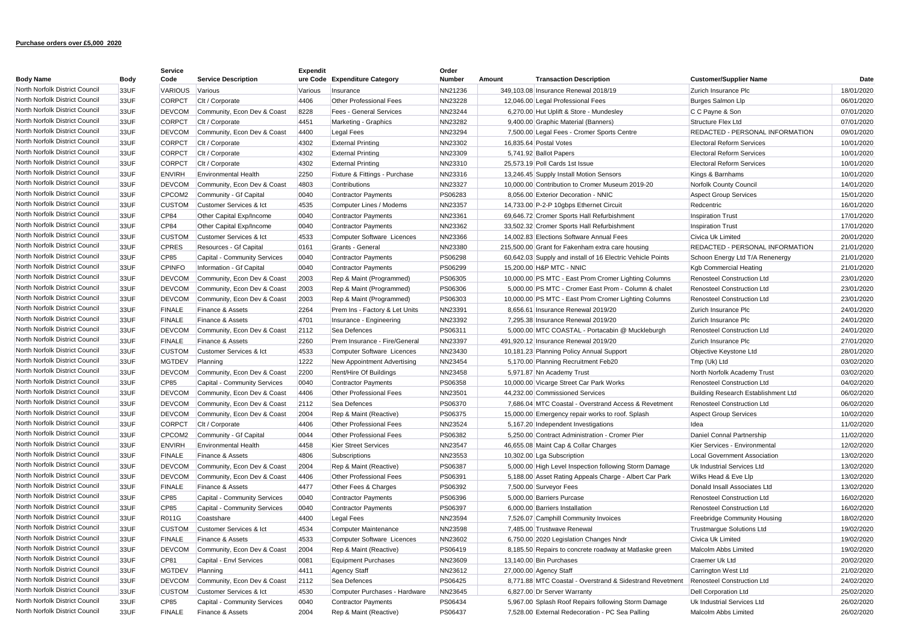| <b>Body Name</b>               | Body | Service<br>Code | <b>Service Description</b>   | <b>Expendit</b> | ure Code Expenditure Category            | Order<br>Number | Amount | <b>Transaction Description</b>                             | <b>Customer/Supplier Name</b>       | Date       |
|--------------------------------|------|-----------------|------------------------------|-----------------|------------------------------------------|-----------------|--------|------------------------------------------------------------|-------------------------------------|------------|
| North Norfolk District Council |      |                 |                              |                 |                                          |                 |        |                                                            |                                     |            |
| North Norfolk District Council | 33UF | <b>VARIOUS</b>  | Various                      | Various         | Insurance                                | NN21236         |        | 349,103.08 Insurance Renewal 2018/19                       | Zurich Insurance Plc                | 18/01/2020 |
| North Norfolk District Council | 33UF | <b>CORPCT</b>   | Clt / Corporate              | 4406            | <b>Other Professional Fees</b>           | NN23228         |        | 12,046.00 Legal Professional Fees                          | <b>Burges Salmon Llp</b>            | 06/01/2020 |
| North Norfolk District Council | 33UF | <b>DEVCOM</b>   | Community, Econ Dev & Coast  | 8228            | <b>Fees - General Services</b>           | NN23244         |        | 6,270.00 Hut Uplift & Store - Mundesley                    | C C Payne & Son                     | 07/01/2020 |
| North Norfolk District Council | 33UF | <b>CORPCT</b>   | Clt / Corporate              | 4451            | Marketing - Graphics                     | NN23282         |        | 9,400.00 Graphic Material (Banners)                        | Structure Flex Ltd                  | 07/01/2020 |
| North Norfolk District Council | 33UF | <b>DEVCOM</b>   | Community, Econ Dev & Coast  | 4400            | Legal Fees                               | NN23294         |        | 7,500.00 Legal Fees - Cromer Sports Centre                 | REDACTED - PERSONAL INFORMATION     | 09/01/2020 |
| North Norfolk District Council | 33UF | <b>CORPCT</b>   | Clt / Corporate              | 4302            | <b>External Printing</b>                 | NN23302         |        | 16.835.64 Postal Votes                                     | <b>Electoral Reform Services</b>    | 10/01/2020 |
|                                | 33UF | <b>CORPCT</b>   | Clt / Corporate              | 4302            | <b>External Printing</b>                 | NN23309         |        | 5,741.92 Ballot Papers                                     | <b>Electoral Reform Services</b>    | 10/01/2020 |
| North Norfolk District Council | 33UF | <b>CORPCT</b>   | Clt / Corporate              | 4302            | <b>External Printing</b>                 | NN23310         |        | 25,573.19 Poll Cards 1st Issue                             | <b>Electoral Reform Services</b>    | 10/01/2020 |
| North Norfolk District Council | 33UF | <b>ENVIRH</b>   | <b>Environmental Health</b>  | 2250            | Fixture & Fittings - Purchase            | NN23316         |        | 13,246.45 Supply Install Motion Sensors                    | Kings & Barnhams                    | 10/01/2020 |
| North Norfolk District Council | 33UF | <b>DEVCOM</b>   | Community, Econ Dev & Coast  | 4803            | Contributions                            | NN23327         |        | 10,000.00 Contribution to Cromer Museum 2019-20            | Norfolk County Council              | 14/01/2020 |
| North Norfolk District Council | 33UF | CPCOM2          | Community - Gf Capital       | 0040            | <b>Contractor Payments</b>               | PS06283         |        | 8,056.00 Exterior Decoration - NNIC                        | <b>Aspect Group Services</b>        | 15/01/2020 |
| North Norfolk District Council | 33UF | <b>CUSTOM</b>   | Customer Services & Ict      | 4535            | Computer Lines / Modems                  | NN23357         |        | 14,733.00 P-2-P 10gbps Ethernet Circuit                    | Redcentric                          | 16/01/2020 |
| North Norfolk District Council | 33UF | <b>CP84</b>     | Other Capital Exp/Income     | 0040            | <b>Contractor Payments</b>               | NN23361         |        | 69,646.72 Cromer Sports Hall Refurbishment                 | <b>Inspiration Trust</b>            | 17/01/2020 |
| North Norfolk District Council | 33UF | CP84            | Other Capital Exp/Income     | 0040            | <b>Contractor Payments</b>               | NN23362         |        | 33,502.32 Cromer Sports Hall Refurbishment                 | <b>Inspiration Trust</b>            | 17/01/2020 |
| North Norfolk District Council | 33UF | <b>CUSTOM</b>   | Customer Services & Ict      | 4533            | Computer Software Licences               | NN23366         |        | 14,002.83 Elections Software Annual Fees                   | Civica Uk Limited                   | 20/01/2020 |
| North Norfolk District Council | 33UF | <b>CPRES</b>    | Resources - Gf Capital       | 0161            | Grants - General                         | NN23380         |        | 215,500.00 Grant for Fakenham extra care housing           | REDACTED - PERSONAL INFORMATION     | 21/01/2020 |
| North Norfolk District Council | 33UF | <b>CP85</b>     | Capital - Community Services | 0040            | <b>Contractor Payments</b>               | PS06298         |        | 60,642.03 Supply and install of 16 Electric Vehicle Points | Schoon Energy Ltd T/A Renenergy     | 21/01/2020 |
| North Norfolk District Council | 33UF | <b>CPINFO</b>   | Information - Gf Capital     | 0040            | <b>Contractor Payments</b>               | PS06299         |        | 15,200.00 H&P MTC - NNIC                                   | <b>Kgb Commercial Heating</b>       | 21/01/2020 |
| North Norfolk District Council | 33UF | <b>DEVCOM</b>   | Community, Econ Dev & Coast  | 2003            | Rep & Maint (Programmed)                 | PS06305         |        | 10,000.00 PS MTC - East Prom Cromer Lighting Columns       | <b>Renosteel Construction Ltd</b>   | 23/01/2020 |
| North Norfolk District Council | 33UF | <b>DEVCOM</b>   | Community, Econ Dev & Coast  | 2003            | Rep & Maint (Programmed)                 | PS06306         |        | 5.000.00 PS MTC - Cromer East Prom - Column & chalet       | <b>Renosteel Construction Ltd</b>   | 23/01/2020 |
| North Norfolk District Council | 33UF | <b>DEVCOM</b>   | Community, Econ Dev & Coast  | 2003            | Rep & Maint (Programmed)                 | PS06303         |        | 10,000.00 PS MTC - East Prom Cromer Lighting Columns       | <b>Renosteel Construction Ltd</b>   | 23/01/2020 |
| North Norfolk District Council | 33UF | <b>FINALE</b>   | Finance & Assets             | 2264            | Prem Ins - Factory & Let Units           | NN23391         |        | 8,656.61 Insurance Renewal 2019/20                         | Zurich Insurance Plc                | 24/01/2020 |
| North Norfolk District Council | 33UF | <b>FINALE</b>   | Finance & Assets             | 4701            | Insurance - Engineering                  | NN23392         |        | 7.295.38 Insurance Renewal 2019/20                         | Zurich Insurance Plc                | 24/01/2020 |
| North Norfolk District Council | 33UF | <b>DEVCOM</b>   | Community, Econ Dev & Coast  | 2112            | Sea Defences                             | PS06311         |        | 5,000.00 MTC COASTAL - Portacabin @ Muckleburgh            | <b>Renosteel Construction Ltd</b>   | 24/01/2020 |
| North Norfolk District Council | 33UF | <b>FINALE</b>   | Finance & Assets             | 2260            | Prem Insurance - Fire/General            | NN23397         |        | 491,920.12 Insurance Renewal 2019/20                       | Zurich Insurance Plc                | 27/01/2020 |
| North Norfolk District Council | 33UF | <b>CUSTOM</b>   | Customer Services & Ict      | 4533            | Computer Software Licences               | NN23430         |        | 10,181.23 Planning Policy Annual Support                   | Objective Keystone Ltd              | 28/01/2020 |
| North Norfolk District Council | 33UF | <b>MGTDEV</b>   | Planning                     | 1222            | New Appointment Advertising              | NN23454         |        | 5,170.00 Planning Recruitment Feb20                        | Tmp (Uk) Ltd                        | 03/02/2020 |
| North Norfolk District Council | 33UF | <b>DEVCOM</b>   | Community, Econ Dev & Coast  | 2200            | Rent/Hire Of Buildings                   | NN23458         |        | 5,971.87 Nn Academy Trust                                  | North Norfolk Academy Trust         | 03/02/2020 |
| North Norfolk District Council | 33UF | <b>CP85</b>     | Capital - Community Services | 0040            | <b>Contractor Payments</b>               | PS06358         |        | 10,000.00 Vicarge Street Car Park Works                    | <b>Renosteel Construction Ltd</b>   | 04/02/2020 |
| North Norfolk District Council | 33UF | <b>DEVCOM</b>   | Community, Econ Dev & Coast  | 4406            | <b>Other Professional Fees</b>           | NN23501         |        | 44,232.00 Commissioned Services                            | Building Research Establishment Ltd | 06/02/2020 |
| North Norfolk District Council | 33UF | <b>DEVCOM</b>   | Community, Econ Dev & Coast  | 2112            | Sea Defences                             | PS06370         |        | 7.686.04 MTC Coastal - Overstrand Access & Revetment       | <b>Renosteel Construction Ltd</b>   | 06/02/2020 |
| North Norfolk District Council | 33UF | <b>DEVCOM</b>   | Community, Econ Dev & Coast  | 2004            | Rep & Maint (Reactive)                   | PS06375         |        | 15,000.00 Emergency repair works to roof. Splash           | <b>Aspect Group Services</b>        | 10/02/2020 |
| North Norfolk District Council | 33UF | <b>CORPCT</b>   | Clt / Corporate              | 4406            | <b>Other Professional Fees</b>           | NN23524         |        | 5,167.20 Independent Investigations                        | Idea                                | 11/02/2020 |
| North Norfolk District Council | 33UF | CPCOM2          | Community - Gf Capital       | 0044            | <b>Other Professional Fees</b>           | PS06382         |        | 5,250.00 Contract Administration - Cromer Pier             | Daniel Connal Partnership           | 11/02/2020 |
| North Norfolk District Council | 33UF | <b>ENVIRH</b>   | <b>Environmental Health</b>  | 4458            | <b>Kier Street Services</b>              | NN23547         |        | 46,655.08 Maint Cap & Collar Charges                       | Kier Services - Environmental       | 12/02/2020 |
| North Norfolk District Council | 33UF | <b>FINALE</b>   | Finance & Assets             | 4806            | Subscriptions                            | NN23553         |        | 10,302.00 Lga Subscription                                 | Local Government Association        | 13/02/2020 |
| North Norfolk District Council | 33UF | <b>DEVCOM</b>   | Community, Econ Dev & Coast  | 2004            | Rep & Maint (Reactive)                   | PS06387         |        | 5,000.00 High Level Inspection following Storm Damage      | Uk Industrial Services Ltd          | 13/02/2020 |
| North Norfolk District Council | 33UF | <b>DEVCOM</b>   | Community, Econ Dev & Coast  | 4406            | Other Professional Fees                  | PS06391         |        | 5,188.00 Asset Rating Appeals Charge - Albert Car Park     | Wilks Head & Eve Llp                | 13/02/2020 |
| North Norfolk District Council | 33UF | <b>FINALE</b>   | Finance & Assets             | 4477            | Other Fees & Charges                     | PS06392         |        | 7,500.00 Surveyor Fees                                     | Donald Insall Associates Ltd        | 13/02/2020 |
| North Norfolk District Council | 33UF | <b>CP85</b>     | Capital - Community Services | 0040            | <b>Contractor Payments</b>               | PS06396         |        | 5,000.00 Barriers Purcase                                  | <b>Renosteel Construction Ltd</b>   | 16/02/2020 |
| North Norfolk District Council | 33UF | <b>CP85</b>     | Capital - Community Services | 0040            |                                          | PS06397         |        | 6,000.00 Barriers Installation                             | <b>Renosteel Construction Ltd</b>   | 16/02/2020 |
| North Norfolk District Council | 33UF | R011G           | Coastshare                   | 4400            | <b>Contractor Payments</b><br>Legal Fees | NN23594         |        | 7,526.07 Camphill Community Invoices                       | <b>Freebridge Community Housing</b> | 18/02/2020 |
| North Norfolk District Council | 33UF | <b>CUSTOM</b>   |                              | 4534            | Computer Maintenance                     | NN23598         |        | 7.485.00 Trustwave Renewal                                 |                                     | 19/02/2020 |
| North Norfolk District Council |      |                 | Customer Services & Ict      |                 |                                          |                 |        |                                                            | <b>Trustmarque Solutions Ltd</b>    |            |
| North Norfolk District Council | 33UF | <b>FINALE</b>   | Finance & Assets             | 4533            | Computer Software Licences               | NN23602         |        | 6,750.00 2020 Legislation Changes Nndr                     | Civica Uk Limited                   | 19/02/2020 |
| North Norfolk District Council | 33UF | <b>DEVCOM</b>   | Community, Econ Dev & Coast  | 2004            | Rep & Maint (Reactive)                   | PS06419         |        | 8,185.50 Repairs to concrete roadway at Matlaske green     | Malcolm Abbs Limited                | 19/02/2020 |
| North Norfolk District Council | 33UF | CP81            | Capital - Envl Services      | 0081            | <b>Equipment Purchases</b>               | NN23609         |        | 13,140.00 Bin Purchases                                    | Craemer Uk Ltd                      | 20/02/2020 |
| North Norfolk District Council | 33UF | MGTDEV          | Planning                     | 4411            | <b>Agency Staff</b>                      | NN23612         |        | 27,000.00 Agency Staff                                     | Carrington West Ltd                 | 21/02/2020 |
|                                | 33UF | <b>DEVCOM</b>   | Community, Econ Dev & Coast  | 2112            | Sea Defences                             | PS06425         |        | 8,771.88 MTC Coastal - Overstrand & Sidestrand Revetment   | <b>Renosteel Construction Ltd</b>   | 24/02/2020 |
| North Norfolk District Council | 33UF | <b>CUSTOM</b>   | Customer Services & Ict      | 4530            | Computer Purchases - Hardware            | NN23645         |        | 6,827.00 Dr Server Warranty                                | <b>Dell Corporation Ltd</b>         | 25/02/2020 |
| North Norfolk District Council | 33UF | CP85            | Capital - Community Services | 0040            | <b>Contractor Payments</b>               | PS06434         |        | 5,967.00 Splash Roof Repairs following Storm Damage        | Uk Industrial Services Ltd          | 26/02/2020 |
| North Norfolk District Council | 33UF | <b>FINALE</b>   | Finance & Assets             | 2004            | Rep & Maint (Reactive)                   | PS06437         |        | 7,528.00 External Redecoration - PC Sea Palling            | Malcolm Abbs Limited                | 26/02/2020 |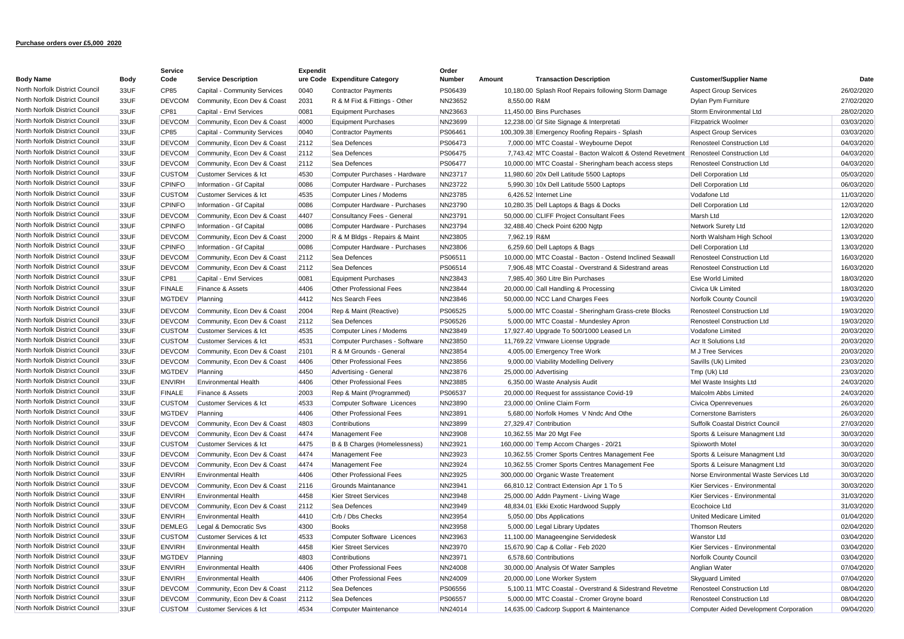|                                |      | Service       |                                    | <b>Expendit</b> |                                   | Order          |              |                                                          |                                         |            |
|--------------------------------|------|---------------|------------------------------------|-----------------|-----------------------------------|----------------|--------------|----------------------------------------------------------|-----------------------------------------|------------|
| <b>Body Name</b>               | Body | Code          | <b>Service Description</b>         |                 | ure Code Expenditure Category     | Number         | Amount       | <b>Transaction Description</b>                           | <b>Customer/Supplier Name</b>           | Date       |
| North Norfolk District Council | 33UF | CP85          | Capital - Community Services       | 0040            | <b>Contractor Payments</b>        | PS06439        |              | 10,180.00 Splash Roof Repairs following Storm Damage     | <b>Aspect Group Services</b>            | 26/02/2020 |
| North Norfolk District Council | 33UF | <b>DEVCOM</b> | Community, Econ Dev & Coast        | 2031            | R & M Fixt & Fittings - Other     | NN23652        | 8.550.00 R&M |                                                          | Dylan Pym Furniture                     | 27/02/2020 |
| North Norfolk District Council | 33UF | CP81          | Capital - Envl Services            | 0081            | <b>Equipment Purchases</b>        | NN23663        |              | 11,450.00 Bins Purchases                                 | Storm Environmental Ltd                 | 28/02/2020 |
| North Norfolk District Council | 33UF | <b>DEVCOM</b> | Community, Econ Dev & Coast        | 4000            | <b>Equipment Purchases</b>        | NN23699        |              | 12,238.00 Gf Site Signage & Interpretati                 | <b>Fitzpatrick Woolmer</b>              | 03/03/2020 |
| North Norfolk District Council | 33UF | <b>CP85</b>   | Capital - Community Services       | 0040            | <b>Contractor Payments</b>        | PS06461        |              | 100,309.38 Emergency Roofing Repairs - Splash            | <b>Aspect Group Services</b>            | 03/03/2020 |
| North Norfolk District Council | 33UF | <b>DEVCOM</b> | Community, Econ Dev & Coast        | 2112            | Sea Defences                      | PS06473        |              | 7,000.00 MTC Coastal - Weybourne Depot                   | <b>Renosteel Construction Ltd</b>       | 04/03/2020 |
| North Norfolk District Council | 33UF | <b>DEVCOM</b> | Community, Econ Dev & Coast        | 2112            | Sea Defences                      | PS06475        |              | 7,743.42 MTC Coastal - Bacton Walcott & Ostend Revetment | <b>Renosteel Construction Ltd</b>       | 04/03/2020 |
| North Norfolk District Council | 33UF | <b>DEVCOM</b> | Community, Econ Dev & Coast        | 2112            | Sea Defences                      | PS06477        |              | 10,000.00 MTC Coastal - Sheringham beach access steps    | <b>Renosteel Construction Ltd</b>       | 04/03/2020 |
| North Norfolk District Council | 33UF | <b>CUSTOM</b> | Customer Services & Ict            | 4530            | Computer Purchases - Hardware     | NN23717        |              | 11,980.60 20x Dell Latitude 5500 Laptops                 | <b>Dell Corporation Ltd</b>             | 05/03/2020 |
| North Norfolk District Council | 33UF | <b>CPINFO</b> | Information - Gf Capital           | 0086            | Computer Hardware - Purchases     | NN23722        |              | 5,990.30 10x Dell Latitude 5500 Laptops                  | <b>Dell Corporation Ltd</b>             | 06/03/2020 |
| North Norfolk District Council | 33UF | <b>CUSTOM</b> | Customer Services & Ict            | 4535            | Computer Lines / Modems           | NN23785        |              | 6,426.52 Internet Line                                   | Vodafone Ltd                            | 11/03/2020 |
| North Norfolk District Council | 33UF | <b>CPINFO</b> | Information - Gf Capital           | 0086            | Computer Hardware - Purchases     | NN23790        |              | 10,280.35 Dell Laptops & Bags & Docks                    | Dell Corporation Ltd                    | 12/03/2020 |
| North Norfolk District Council | 33UF | <b>DEVCOM</b> | Community, Econ Dev & Coast        | 4407            | Consultancy Fees - General        | NN23791        |              | 50,000.00 CLIFF Project Consultant Fees                  | Marsh Ltd                               | 12/03/2020 |
| North Norfolk District Council | 33UF | <b>CPINFO</b> | Information - Gf Capital           | 0086            | Computer Hardware - Purchases     | NN23794        |              | 32,488.40 Check Point 6200 Ngtp                          | Network Surety Ltd                      | 12/03/2020 |
| North Norfolk District Council | 33UF | <b>DEVCOM</b> | Community, Econ Dev & Coast        | 2000            | R & M Bldgs - Repairs & Maint     | NN23805        | 7,962.19 R&M |                                                          | North Walsham High School               | 13/03/2020 |
| North Norfolk District Council | 33UF | <b>CPINFO</b> | Information - Gf Capital           | 0086            | Computer Hardware - Purchases     | NN23806        |              | 6,259.60 Dell Laptops & Bags                             | <b>Dell Corporation Ltd</b>             | 13/03/2020 |
| North Norfolk District Council | 33UF |               |                                    |                 |                                   |                |              |                                                          |                                         |            |
| North Norfolk District Council |      | <b>DEVCOM</b> | Community, Econ Dev & Coast        | 2112            | Sea Defences                      | PS06511        |              | 10,000.00 MTC Coastal - Bacton - Ostend Inclined Seawall | <b>Renosteel Construction Ltd</b>       | 16/03/2020 |
| North Norfolk District Council | 33UF | <b>DEVCOM</b> | Community, Econ Dev & Coast        | 2112            | Sea Defences                      | PS06514        |              | 7.906.48 MTC Coastal - Overstrand & Sidestrand areas     | <b>Renosteel Construction Ltd</b>       | 16/03/2020 |
| North Norfolk District Council | 33UF | CP81          | Capital - Envl Services            | 0081            | <b>Equipment Purchases</b>        | NN23843        |              | 7,985.40 360 Litre Bin Purchases                         | <b>Ese World Limited</b>                | 18/03/2020 |
|                                | 33UF | <b>FINALE</b> | Finance & Assets                   | 4406            | Other Professional Fees           | NN23844        |              | 20,000.00 Call Handling & Processing                     | Civica Uk Limited                       | 18/03/2020 |
| North Norfolk District Council | 33UF | <b>MGTDEV</b> | Planning                           | 4412            | <b>Ncs Search Fees</b>            | NN23846        |              | 50,000.00 NCC Land Charges Fees                          | Norfolk County Council                  | 19/03/2020 |
| North Norfolk District Counci  | 33UF | <b>DEVCOM</b> | Community, Econ Dev & Coast        | 2004            | Rep & Maint (Reactive)            | PS06525        |              | 5,000.00 MTC Coastal - Sheringham Grass-crete Blocks     | <b>Renosteel Construction Ltd</b>       | 19/03/2020 |
| North Norfolk District Council | 33UF | <b>DEVCOM</b> | Community, Econ Dev & Coast        | 2112            | Sea Defences                      | PS06526        |              | 5,000.00 MTC Coastal - Mundesley Apron                   | <b>Renosteel Construction Ltd</b>       | 19/03/2020 |
| North Norfolk District Council | 33UF | <b>CUSTOM</b> | Customer Services & Ict            | 4535            | Computer Lines / Modems           | NN23849        |              | 17,927.40 Upgrade To 500/1000 Leased Ln                  | Vodafone Limited                        | 20/03/2020 |
| North Norfolk District Council | 33UF | <b>CUSTOM</b> | <b>Customer Services &amp; Ict</b> | 4531            | Computer Purchases - Software     | NN23850        |              | 11,769.22 Vmware License Upgrade                         | Acr It Solutions Ltd                    | 20/03/2020 |
| North Norfolk District Council | 33UF | <b>DEVCOM</b> | Community, Econ Dev & Coast        | 2101            | R & M Grounds - General           | <b>NN23854</b> |              | 4,005.00 Emergency Tree Work                             | M J Tree Services                       | 20/03/2020 |
| North Norfolk District Council | 33UF | <b>DEVCOM</b> | Community, Econ Dev & Coast        | 4406            | <b>Other Professional Fees</b>    | NN23856        |              | 9,000.00 Viability Modelling Delivery                    | Savills (Uk) Limited                    | 23/03/2020 |
| North Norfolk District Council | 33UF | <b>MGTDEV</b> | Planning                           | 4450            | Advertising - General             | NN23876        |              | 25,000.00 Advertising                                    | Tmp (Uk) Ltd                            | 23/03/2020 |
| North Norfolk District Council | 33UF | <b>ENVIRH</b> | <b>Environmental Health</b>        | 4406            | <b>Other Professional Fees</b>    | NN23885        |              | 6,350.00 Waste Analysis Audit                            | Mel Waste Insights Ltd                  | 24/03/2020 |
| North Norfolk District Council | 33UF | <b>FINALE</b> | Finance & Assets                   | 2003            | Rep & Maint (Programmed)          | PS06537        |              | 20,000.00 Request for asssistance Covid-19               | Malcolm Abbs Limited                    | 24/03/2020 |
| North Norfolk District Council | 33UF | <b>CUSTOM</b> | Customer Services & Ict            | 4533            | <b>Computer Software Licences</b> | NN23890        |              | 23,000.00 Online Claim Form                              | Civica Openrevenues                     | 26/03/2020 |
| North Norfolk District Council | 33UF | <b>MGTDEV</b> | Planning                           | 4406            | <b>Other Professional Fees</b>    | NN23891        |              | 5,680.00 Norfolk Homes V Nndc And Othe                   | <b>Cornerstone Barristers</b>           | 26/03/2020 |
| North Norfolk District Council | 33UF | <b>DEVCOM</b> | Community, Econ Dev & Coast        | 4803            | Contributions                     | NN23899        |              | 27,329.47 Contribution                                   | <b>Suffolk Coastal District Council</b> | 27/03/2020 |
| North Norfolk District Council | 33UF | <b>DEVCOM</b> | Community, Econ Dev & Coast        | 4474            | Management Fee                    | <b>NN23908</b> |              | 10,362.55 Mar 20 Mgt Fee                                 | Sports & Leisure Managment Ltd          | 30/03/2020 |
| North Norfolk District Council | 33UF | <b>CUSTOM</b> | Customer Services & Ict            | 4475            | B & B Charges (Homelessness)      | NN23921        |              | 160,000.00 Temp Accom Charges - 20/21                    | Spixworth Motel                         | 30/03/2020 |
| North Norfolk District Council | 33UF | <b>DEVCOM</b> | Community, Econ Dev & Coast        | 4474            | Management Fee                    | NN23923        |              | 10,362.55 Cromer Sports Centres Management Fee           | Sports & Leisure Managment Ltd          | 30/03/2020 |
| North Norfolk District Council | 33UF | <b>DEVCOM</b> | Community, Econ Dev & Coast        | 4474            | Management Fee                    | NN23924        |              | 10,362.55 Cromer Sports Centres Management Fee           | Sports & Leisure Managment Ltd          | 30/03/2020 |
| North Norfolk District Council | 33UF | <b>ENVIRH</b> | <b>Environmental Health</b>        | 4406            | Other Professional Fees           | NN23925        |              | 300,000.00 Organic Waste Treatement                      | Norse Environmental Waste Services Ltd  | 30/03/2020 |
| North Norfolk District Council | 33UF | <b>DEVCOM</b> | Community, Econ Dev & Coast        | 2116            | Grounds Maintanance               | NN23941        |              | 66,810.12 Contract Extension Apr 1 To 5                  | Kier Services - Environmental           | 30/03/2020 |
| North Norfolk District Council | 33UF | <b>ENVIRH</b> | <b>Environmental Health</b>        | 4458            | <b>Kier Street Services</b>       | NN23948        |              | 25,000.00 Addn Payment - Living Wage                     | Kier Services - Environmental           | 31/03/2020 |
| North Norfolk District Council | 33UF | <b>DEVCOM</b> | Community, Econ Dev & Coast        | 2112            | Sea Defences                      | NN23949        |              | 48,834.01 Ekki Exotic Hardwood Supply                    | Ecochoice Ltd                           | 31/03/2020 |
| North Norfolk District Council | 33UF | <b>ENVIRH</b> | <b>Environmental Health</b>        | 4410            | Crb / Dbs Checks                  | NN23954        |              | 5,050.00 Dbs Applications                                | United Medicare Limited                 | 01/04/2020 |
| North Norfolk District Counci  | 33UF | <b>DEMLEG</b> | Legal & Democratic Svs             | 4300            | <b>Books</b>                      | NN23958        |              | 5,000.00 Legal Library Updates                           | <b>Thomson Reuters</b>                  | 02/04/2020 |
| North Norfolk District Council | 33UF | <b>CUSTOM</b> | Customer Services & Ict            | 4533            | Computer Software Licences        | NN23963        |              | 11,100.00 Manageengine Servidedesk                       | <b>Wanstor Ltd</b>                      | 03/04/2020 |
| North Norfolk District Council | 33UF | <b>ENVIRH</b> | <b>Environmental Health</b>        | 4458            | <b>Kier Street Services</b>       | NN23970        |              | 15,670.90 Cap & Collar - Feb 2020                        | Kier Services - Environmental           | 03/04/2020 |
| North Norfolk District Council | 33UF | <b>MGTDEV</b> | Planning                           | 4803            | Contributions                     | NN23971        |              | 6,578.60 Contributions                                   | Norfolk County Council                  | 03/04/2020 |
| North Norfolk District Council | 33UF | <b>ENVIRH</b> | <b>Environmental Health</b>        | 4406            | Other Professional Fees           | NN24008        |              | 30,000.00 Analysis Of Water Samples                      | Anglian Water                           | 07/04/2020 |
| North Norfolk District Council | 33UF | <b>ENVIRH</b> | <b>Environmental Health</b>        | 4406            | Other Professional Fees           | NN24009        |              | 20,000.00 Lone Worker System                             | <b>Skyguard Limited</b>                 | 07/04/2020 |
| North Norfolk District Council | 33UF | <b>DEVCOM</b> | Community, Econ Dev & Coast        | 2112            | Sea Defences                      | <b>PS06556</b> |              | 5,100.11 MTC Coastal - Overstrand & Sidestrand Revetme   | <b>Renosteel Construction Ltd</b>       | 08/04/2020 |
| North Norfolk District Council | 33UF | <b>DEVCOM</b> | Community, Econ Dev & Coast        | 2112            | Sea Defences                      | PS06557        |              | 5.000.00 MTC Coastal - Cromer Grovne board               | <b>Renosteel Construction Ltd</b>       | 08/04/2020 |
| North Norfolk District Council | 33UF | <b>CUSTOM</b> | Customer Services & Ict            | 4534            | Computer Maintenance              | NN24014        |              | 14,635.00 Cadcorp Support & Maintenance                  | Computer Aided Development Corporation  | 09/04/2020 |
|                                |      |               |                                    |                 |                                   |                |              |                                                          |                                         |            |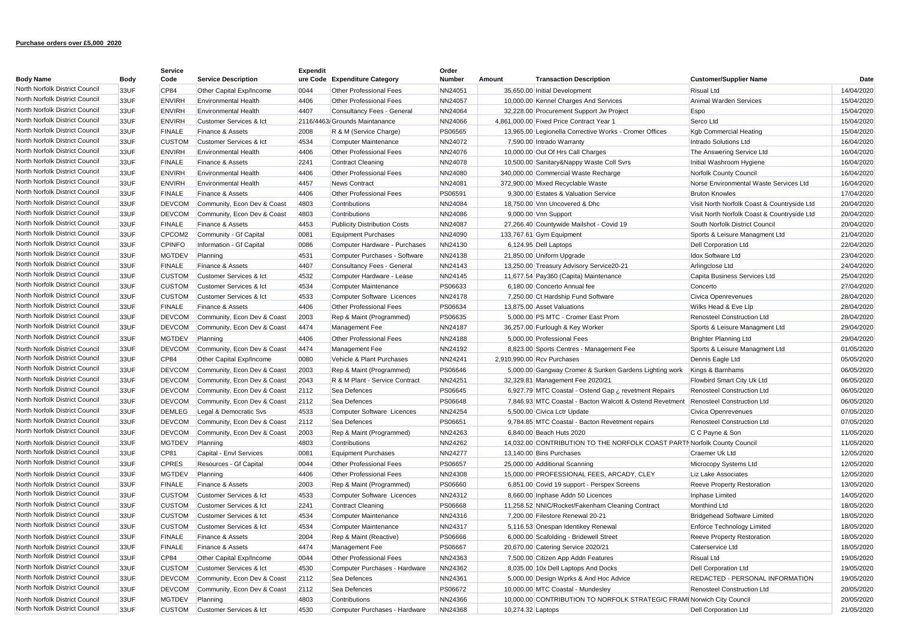|                                                                  |             | Service            |                                             | <b>Expendit</b> |                                                       | Order              |                   |                                                                          |                                             |            |
|------------------------------------------------------------------|-------------|--------------------|---------------------------------------------|-----------------|-------------------------------------------------------|--------------------|-------------------|--------------------------------------------------------------------------|---------------------------------------------|------------|
| <b>Body Name</b>                                                 | <b>Body</b> | Code               | <b>Service Description</b>                  |                 | ure Code Expenditure Category                         | Number             | Amount            | <b>Transaction Description</b>                                           | <b>Customer/Supplier Name</b>               | Date       |
| North Norfolk District Council                                   | 33UF        | CP84               | Other Capital Exp/Income                    | 0044            | <b>Other Professional Fees</b>                        | NN24051            |                   | 35,650.00 Initial Development                                            | <b>Risual Ltd</b>                           | 14/04/2020 |
| North Norfolk District Council                                   | 33UF        | <b>ENVIRH</b>      | <b>Environmental Health</b>                 | 4406            | Other Professional Fees                               | NN24057            |                   | 10,000.00 Kennel Charges And Services                                    | Animal Warden Services                      | 15/04/2020 |
| North Norfolk District Council                                   | 33UF        | <b>ENVIRH</b>      | <b>Environmental Health</b>                 | 4407            | <b>Consultancy Fees - General</b>                     | <b>NN24064</b>     |                   | 32,228.00 Procurement Support Jw Project                                 | Espo                                        | 15/04/2020 |
| North Norfolk District Council                                   | 33UF        | <b>ENVIRH</b>      | Customer Services & Ict                     |                 | 2116/4463 Grounds Maintanance                         | NN24066            |                   | 4,861,000.00 Fixed Price Contract Year 1                                 | Serco Ltd                                   | 15/04/2020 |
| North Norfolk District Council                                   | 33UF        | <b>FINALE</b>      | Finance & Assets                            | 2008            | R & M (Service Charge)                                | PS06565            |                   | 13,965.00 Legionella Corrective Works - Cromer Offices                   | Kgb Commercial Heating                      | 15/04/2020 |
| North Norfolk District Council                                   | 33UF        | <b>CUSTOM</b>      | Customer Services & Ict                     | 4534            | <b>Computer Maintenance</b>                           | NN24072            |                   | 7,590.00 Intrado Warranty                                                | Intrado Solutions Ltd                       | 16/04/2020 |
| North Norfolk District Council                                   | 33UF        | <b>ENVIRH</b>      | <b>Environmental Health</b>                 | 4406            | <b>Other Professional Fees</b>                        | NN24076            |                   | 10,000.00 Out Of Hrs Call Charges                                        | The Answering Service Ltd                   | 16/04/2020 |
| North Norfolk District Council                                   | 33UF        | <b>FINALE</b>      | Finance & Assets                            | 2241            | <b>Contract Cleaning</b>                              | NN24078            |                   | 10,500.00 Sanitary&Nappy Waste Coll Svrs                                 | Initial Washroom Hygiene                    | 16/04/2020 |
| North Norfolk District Council                                   | 33UF        | <b>ENVIRH</b>      | <b>Environmental Health</b>                 | 4406            | <b>Other Professional Fees</b>                        | NN24080            |                   | 340,000.00 Commercial Waste Recharge                                     | Norfolk County Council                      | 16/04/2020 |
| North Norfolk District Council                                   | 33UF        | <b>ENVIRH</b>      | <b>Environmental Health</b>                 | 4457            | <b>News Contract</b>                                  | NN24081            |                   | 372,900.00 Mixed Recyclable Waste                                        | Norse Environmental Waste Services Ltd      | 16/04/2020 |
| North Norfolk District Council                                   | 33UF        | <b>FINALE</b>      | Finance & Assets                            | 4406            | <b>Other Professional Fees</b>                        | PS06591            |                   | 9,300.00 Estates & Valuation Service                                     | <b>Bruton Knowles</b>                       | 17/04/2020 |
| North Norfolk District Council                                   | 33UF        | <b>DEVCOM</b>      | Community, Econ Dev & Coast                 | 4803            | Contributions                                         | NN24084            |                   | 18,750.00 Vnn Uncovered & Dhc                                            | Visit North Norfolk Coast & Countryside Ltd | 20/04/2020 |
| North Norfolk District Council                                   | 33UF        | <b>DEVCOM</b>      | Community, Econ Dev & Coast                 | 4803            | Contributions                                         | NN24086            |                   | 9,000.00 Vnn Support                                                     | Visit North Norfolk Coast & Countryside Ltd | 20/04/2020 |
| North Norfolk District Council                                   | 33UF        | <b>FINALE</b>      | Finance & Assets                            | 4453            | <b>Publicity Distribution Costs</b>                   | NN24087            |                   | 27,266.40 Countywide Mailshot - Covid 19                                 | South Norfolk District Council              | 20/04/2020 |
| North Norfolk District Council                                   | 33UF        | CPCOM <sub>2</sub> | Community - Gf Capital                      | 0081            | <b>Equipment Purchases</b>                            | NN24090            |                   | 133,767.61 Gym Equipment                                                 | Sports & Leisure Managment Ltd              | 21/04/2020 |
| North Norfolk District Council                                   | 33UF        | <b>CPINFO</b>      | Information - Gf Capital                    | 0086            | Computer Hardware - Purchases                         | NN24130            |                   | 6,124.95 Dell Laptops                                                    | <b>Dell Corporation Ltd</b>                 | 22/04/2020 |
| North Norfolk District Council                                   | 33UF        | <b>MGTDEV</b>      | Planning                                    | 4531            | Computer Purchases - Software                         | NN24138            |                   | 21,850.00 Uniform Upgrade                                                | Idox Software Ltd                           | 23/04/2020 |
| North Norfolk District Council                                   | 33UF        | <b>FINALE</b>      | Finance & Assets                            | 4407            | Consultancy Fees - General                            | NN24143            |                   | 13,250.00 Treasury Advisory Service20-21                                 | Arlingclose Ltd                             | 24/04/2020 |
| North Norfolk District Council                                   | 33UF        | <b>CUSTOM</b>      | Customer Services & Ict                     | 4532            | Computer Hardware - Lease                             | NN24145            |                   | 11,677.54 Pay360 (Capita) Maintenance                                    | Capita Business Services Ltd                | 25/04/2020 |
| North Norfolk District Council                                   | 33UF        | <b>CUSTOM</b>      | Customer Services & Ict                     | 4534            | <b>Computer Maintenance</b>                           | PS06633            |                   | 6,180.00 Concerto Annual fee                                             | Concerto                                    | 27/04/2020 |
| North Norfolk District Council                                   | 33UF        | <b>CUSTOM</b>      | Customer Services & Ict                     | 4533            | Computer Software Licences                            | NN24178            |                   | 7,250.00 Ct Hardship Fund Software                                       | Civica Openrevenues                         | 28/04/2020 |
| North Norfolk District Council                                   | 33UF        | <b>FINALE</b>      | Finance & Assets                            | 4406            | Other Professional Fees                               | PS06634            |                   | 13,875.00 Asset Valuations                                               | Wilks Head & Eve Llp                        | 28/04/2020 |
| North Norfolk District Council                                   | 33UF        | <b>DEVCOM</b>      | Community, Econ Dev & Coast                 | 2003            | Rep & Maint (Programmed)                              | PS06635            |                   | 5,000.00 PS MTC - Cromer East Prom                                       | <b>Renosteel Construction Ltd</b>           | 28/04/2020 |
| North Norfolk District Council                                   | 33UF        | <b>DEVCOM</b>      | Community, Econ Dev & Coast                 | 4474            | Management Fee                                        | NN24187            |                   | 36,257.00 Furlough & Key Worker                                          | Sports & Leisure Managment Ltd              | 29/04/2020 |
| North Norfolk District Council                                   | 33UF        | <b>MGTDEV</b>      | Planning                                    | 4406            | Other Professional Fees                               | NN24188            |                   | 5,000.00 Professional Fees                                               | <b>Brighter Planning Ltd</b>                | 29/04/2020 |
| North Norfolk District Council                                   | 33UF        | <b>DEVCOM</b>      | Community, Econ Dev & Coast                 | 4474            | Management Fee                                        | NN24192            |                   | 8,823.00 Sports Centres - Management Fee                                 | Sports & Leisure Managment Ltd              | 01/05/2020 |
| North Norfolk District Council                                   | 33UF        | CP84               | Other Capital Exp/Income                    | 0080            | Vehicle & Plant Purchases                             | NN24241            |                   | 2,910,990.00 Rcv Purchases                                               | Dennis Eagle Ltd                            | 05/05/2020 |
| North Norfolk District Council                                   | 33UF        | <b>DEVCOM</b>      | Community, Econ Dev & Coast                 | 2003            | Rep & Maint (Programmed)                              | PS06646            |                   | 5,000.00 Gangway Cromer & Sunken Gardens Lighting work                   | Kings & Barnhams                            | 06/05/2020 |
| North Norfolk District Council                                   | 33UF        | <b>DEVCOM</b>      | Community, Econ Dev & Coast                 | 2043            | R & M Plant - Service Contract                        | NN24251            |                   | 32,329.81 Management Fee 2020/21                                         | Flowbird Smart City Uk Ltd                  | 06/05/2020 |
| North Norfolk District Council                                   | 33UF        | <b>DEVCOM</b>      | Community, Econ Dev & Coast                 | 2112            | Sea Defences                                          | PS06645            |                   | 6,927.79 MTC Coastal - Ostend Gap ¿ revetment Repairs                    | <b>Renosteel Construction Ltd</b>           | 06/05/2020 |
| North Norfolk District Council                                   | 33UF        | <b>DEVCOM</b>      | Community, Econ Dev & Coast                 | 2112            | Sea Defences                                          | PS06648            |                   | 7,846.93 MTC Coastal - Bacton Walcott & Ostend Revetment                 | <b>Renosteel Construction Ltd</b>           | 06/05/2020 |
| North Norfolk District Council                                   | 33UF        | <b>DEMLEG</b>      | Legal & Democratic Svs                      | 4533            | Computer Software Licences                            | NN24254            |                   | 5,500.00 Civica Lctr Update                                              | Civica Openrevenues                         | 07/05/2020 |
| North Norfolk District Council                                   | 33UF        | <b>DEVCOM</b>      | Community, Econ Dev & Coast                 | 2112            | Sea Defences                                          | PS06651            |                   | 9,784.85 MTC Coastal - Bacton Revetment repairs                          | <b>Renosteel Construction Ltd</b>           | 07/05/2020 |
| North Norfolk District Council                                   | 33UF        | <b>DEVCOM</b>      | Community, Econ Dev & Coast                 | 2003            | Rep & Maint (Programmed)                              | NN24263            |                   | 6,840.00 Beach Huts 2020                                                 | C C Payne & Son                             | 11/05/2020 |
| North Norfolk District Council                                   | 33UF        | <b>MGTDEV</b>      | Planning                                    | 4803            | Contributions                                         | NN24262            |                   | 14,032.00 CONTRIBUTION TO THE NORFOLK COAST PARTI Norfolk County Council |                                             | 11/05/2020 |
| North Norfolk District Council                                   | 33UF        | CP81               | Capital - Envl Services                     | 0081            | <b>Equipment Purchases</b>                            | NN24277            |                   | 13.140.00 Bins Purchases                                                 | Craemer Uk Ltd                              | 12/05/2020 |
| North Norfolk District Council                                   | 33UF        | <b>CPRES</b>       | Resources - Gf Capital                      | 0044            | <b>Other Professional Fees</b>                        | PS06657            |                   | 25,000.00 Additional Scanning                                            | Microcopy Systems Ltd                       | 12/05/2020 |
| North Norfolk District Council                                   | 33UF        | <b>MGTDEV</b>      | Planning                                    | 4406            | <b>Other Professional Fees</b>                        | NN24308            |                   | 15,000.00 PROFESSIONAL FEES, ARCADY, CLEY                                | Liz Lake Associates                         | 12/05/2020 |
| North Norfolk District Council                                   | 33UF        | <b>FINALE</b>      | Finance & Assets                            | 2003            | Rep & Maint (Programmed)                              | PS06660            |                   | 6,851.00 Covid 19 support - Perspex Screens                              | Reeve Property Restoration                  | 13/05/2020 |
| North Norfolk District Council                                   | 33UF        | <b>CUSTOM</b>      | Customer Services & Ict                     | 4533            | Computer Software Licences                            | NN24312            |                   | 8,660.00 Inphase Addn 50 Licences                                        | Inphase Limited                             | 14/05/2020 |
| North Norfolk District Council                                   | 33UF        | <b>CUSTOM</b>      | Customer Services & Ict                     | 2241            | <b>Contract Cleaning</b>                              | PS06668            |                   | 11,258.52 NNIC/Rocket/Fakenham Cleaning Contract                         | Monthind Ltd                                | 18/05/2020 |
| North Norfolk District Council                                   | 33UF        | <b>CUSTOM</b>      | Customer Services & Ict                     | 4534            | <b>Computer Maintenance</b>                           | NN24316            |                   | 7,200.00 Filestore Renewal 20-21                                         | <b>Bridgehead Software Limited</b>          | 18/05/2020 |
| North Norfolk District Council                                   | 33UF        | <b>CUSTOM</b>      |                                             | 4534            |                                                       |                    |                   |                                                                          |                                             | 18/05/2020 |
| North Norfolk District Council                                   | 33UF        | <b>FINALE</b>      | Customer Services & Ict<br>Finance & Assets | 2004            | <b>Computer Maintenance</b><br>Rep & Maint (Reactive) | NN24317<br>PS06666 |                   | 5,116.53 Onespan Identikey Renewal                                       | <b>Enforce Technology Limited</b>           | 18/05/2020 |
|                                                                  |             |                    |                                             |                 |                                                       |                    |                   | 6,000.00 Scafolding - Bridewell Street                                   | Reeve Property Restoration                  |            |
| North Norfolk District Council<br>North Norfolk District Council | 33UF        | <b>FINALE</b>      | Finance & Assets                            | 4474            | Management Fee                                        | PS06667            |                   | 20,670.00 Catering Service 2020/21                                       | Caterservice Ltd                            | 18/05/2020 |
| North Norfolk District Council                                   | 33UF        | <b>CP84</b>        | Other Capital Exp/Income                    | 0044            | <b>Other Professional Fees</b>                        | NN24363            |                   | 7,500.00 Citizen App Addn Features                                       | <b>Risual Ltd</b>                           | 19/05/2020 |
|                                                                  | 33UF        | <b>CUSTOM</b>      | Customer Services & Ict                     | 4530            | Computer Purchases - Hardware                         | NN24362            |                   | 8,035.00 10x Dell Laptops And Docks                                      | <b>Dell Corporation Ltd</b>                 | 19/05/2020 |
| North Norfolk District Council                                   | 33UF        | <b>DEVCOM</b>      | Community, Econ Dev & Coast                 | 2112            | Sea Defences                                          | NN24361            |                   | 5,000.00 Design Wprks & And Hoc Advice                                   | REDACTED - PERSONAL INFORMATION             | 19/05/2020 |
| North Norfolk District Council                                   | 33UF        | <b>DEVCOM</b>      | Community, Econ Dev & Coast                 | 2112            | Sea Defences                                          | PS06672            |                   | 10,000.00 MTC Coastal - Mundesley                                        | <b>Renosteel Construction Ltd</b>           | 20/05/2020 |
| North Norfolk District Council                                   | 33UF        | <b>MGTDEV</b>      | Planning                                    | 4803            | Contributions                                         | NN24366            |                   | 10,000.00 CONTRIBUTION TO NORFOLK STRATEGIC FRAMI Norwich City Council   |                                             | 20/05/2020 |
| North Norfolk District Council                                   | 33UF        | <b>CUSTOM</b>      | Customer Services & Ict                     | 4530            | Computer Purchases - Hardware                         | NN24368            | 10,274.32 Laptops |                                                                          | <b>Dell Corporation Ltd</b>                 | 21/05/2020 |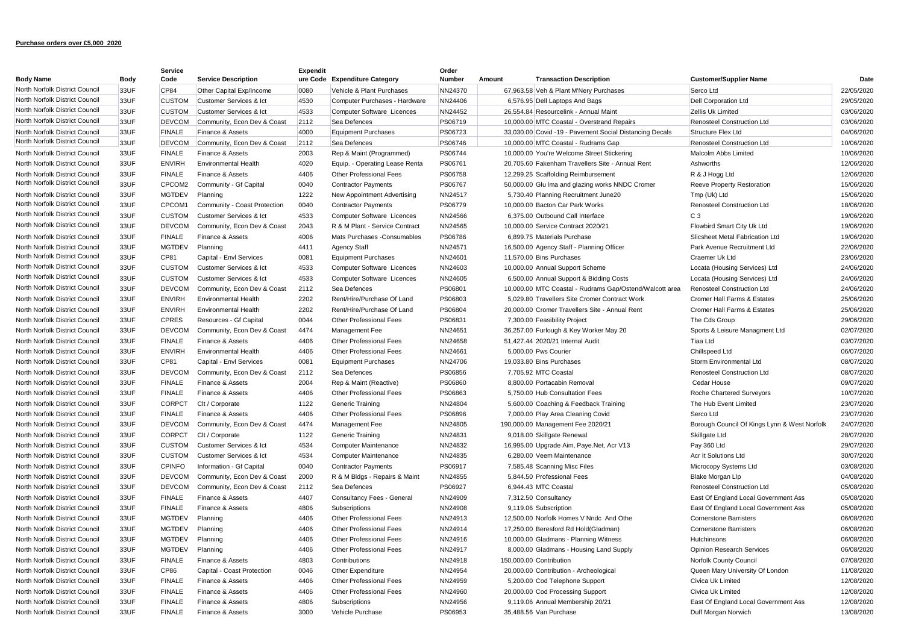|                                |             | Service       |                              | <b>Expendit</b> |                                   | Order   |        |                                                         |                                              |            |
|--------------------------------|-------------|---------------|------------------------------|-----------------|-----------------------------------|---------|--------|---------------------------------------------------------|----------------------------------------------|------------|
| Body Name                      | <b>Body</b> | Code          | <b>Service Description</b>   |                 | ure Code Expenditure Category     | Number  | Amount | <b>Transaction Description</b>                          | <b>Customer/Supplier Name</b>                | Date       |
| North Norfolk District Council | 33UF        | CP84          | Other Capital Exp/Income     | 0080            | Vehicle & Plant Purchases         | NN24370 |        | 67,963.58 Veh & Plant M'Nery Purchases                  | Serco Ltd                                    | 22/05/2020 |
| North Norfolk District Council | 33UF        | <b>CUSTOM</b> | Customer Services & Ict      | 4530            | Computer Purchases - Hardware     | NN24406 |        | 6,576.95 Dell Laptops And Bags                          | <b>Dell Corporation Ltd</b>                  | 29/05/2020 |
| North Norfolk District Council | 33UF        | <b>CUSTOM</b> | Customer Services & Ict      | 4533            | Computer Software Licences        | NN24452 |        | 26,554.84 Resourcelink - Annual Maint                   | Zellis Uk Limited                            | 03/06/2020 |
| North Norfolk District Council | 33UF        | <b>DEVCOM</b> | Community, Econ Dev & Coast  | 2112            | Sea Defences                      | PS06719 |        | 10,000.00 MTC Coastal - Overstrand Repairs              | Renosteel Construction Ltd                   | 03/06/2020 |
| North Norfolk District Council | 33UF        | <b>FINALE</b> | Finance & Assets             | 4000            | <b>Equipment Purchases</b>        | PS06723 |        | 33,030.00 Covid -19 - Pavement Social Distancing Decals | Structure Flex Ltd                           | 04/06/2020 |
| North Norfolk District Council | 33UF        | <b>DEVCOM</b> | Community, Econ Dev & Coast  | 2112            | Sea Defences                      | PS06746 |        | 10,000.00 MTC Coastal - Rudrams Gap                     | Renosteel Construction Ltd                   | 10/06/2020 |
| North Norfolk District Council | 33UF        | <b>FINALE</b> | Finance & Assets             | 2003            | Rep & Maint (Programmed)          | PS06744 |        | 10,000.00 You're Welcome Street Stickering              | Malcolm Abbs Limited                         | 10/06/2020 |
| North Norfolk District Council | 33UF        | <b>ENVIRH</b> | <b>Environmental Health</b>  | 4020            | Equip. - Operating Lease Renta    | PS06761 |        | 20,705.60 Fakenham Travellers Site - Annual Rent        | Ashworths                                    | 12/06/2020 |
| North Norfolk District Council | 33UF        | <b>FINALE</b> | Finance & Assets             | 4406            | <b>Other Professional Fees</b>    | PS06758 |        | 12,299.25 Scaffolding Reimbursement                     | R & J Hogg Ltd                               | 12/06/2020 |
| North Norfolk District Council | 33UF        | CPCOM2        | Community - Gf Capital       | 0040            | <b>Contractor Payments</b>        | PS06767 |        | 50,000.00 Glu Ima and glazing works NNDC Cromer         | <b>Reeve Property Restoration</b>            | 15/06/2020 |
| North Norfolk District Council | 33UF        | <b>MGTDEV</b> | Planning                     | 1222            | New Appointment Advertising       | NN24517 |        | 5,730.40 Planning Recruitment June20                    | Tmp (Uk) Ltd                                 | 15/06/2020 |
| North Norfolk District Council | 33UF        | CPCOM1        | Community - Coast Protection | 0040            | <b>Contractor Payments</b>        | PS06779 |        | 10,000.00 Bacton Car Park Works                         | <b>Renosteel Construction Ltd</b>            | 18/06/2020 |
| North Norfolk District Council | 33UF        | <b>CUSTOM</b> | Customer Services & Ict      | 4533            | <b>Computer Software Licences</b> | NN24566 |        | 6,375.00 Outbound Call Interface                        | C <sub>3</sub>                               | 19/06/2020 |
| North Norfolk District Council | 33UF        | <b>DEVCOM</b> | Community, Econ Dev & Coast  | 2043            | R & M Plant - Service Contract    | NN24565 |        | 10,000.00 Service Contract 2020/21                      | Flowbird Smart City Uk Ltd                   | 19/06/2020 |
| North Norfolk District Council | 33UF        | <b>FINALE</b> | Finance & Assets             | 4006            | Mats Purchases - Consumables      | PS06786 |        | 6,899.75 Materials Purchase                             | Slicsheet Metal Fabrication Ltd              | 19/06/2020 |
| North Norfolk District Council | 33UF        | <b>MGTDEV</b> | Planning                     | 4411            | <b>Agency Staff</b>               | NN24571 |        | 16,500.00 Agency Staff - Planning Officer               | Park Avenue Recruitment Ltd                  | 22/06/2020 |
| North Norfolk District Council | 33UF        | CP81          | Capital - Envl Services      | 0081            | <b>Equipment Purchases</b>        | NN24601 |        | 11,570.00 Bins Purchases                                | Craemer Uk Ltd                               | 23/06/2020 |
| North Norfolk District Council | 33UF        | <b>CUSTOM</b> | Customer Services & Ict      | 4533            | <b>Computer Software Licences</b> | NN24603 |        | 10,000.00 Annual Support Scheme                         | Locata (Housing Services) Ltd                | 24/06/2020 |
| North Norfolk District Council | 33UF        | <b>CUSTOM</b> | Customer Services & Ict      | 4533            |                                   |         |        |                                                         |                                              | 24/06/2020 |
| North Norfolk District Council |             |               |                              |                 | Computer Software Licences        | NN24605 |        | 6,500.00 Annual Support & Bidding Costs                 | Locata (Housing Services) Ltd                |            |
|                                | 33UF        | <b>DEVCOM</b> | Community, Econ Dev & Coast  | 2112            | Sea Defences                      | PS06801 |        | 10,000.00 MTC Coastal - Rudrams Gap/Ostend/Walcott area | <b>Renosteel Construction Ltd</b>            | 24/06/2020 |
| North Norfolk District Council | 33UF        | <b>ENVIRH</b> | Environmental Health         | 2202            | Rent/Hire/Purchase Of Land        | PS06803 |        | 5,029.80 Travellers Site Cromer Contract Work           | Cromer Hall Farms & Estates                  | 25/06/2020 |
| North Norfolk District Council | 33UF        | <b>ENVIRH</b> | <b>Environmental Health</b>  | 2202            | Rent/Hire/Purchase Of Land        | PS06804 |        | 20,000,00 Cromer Travellers Site - Annual Rent          | Cromer Hall Farms & Estates                  | 25/06/2020 |
| North Norfolk District Council | 33UF        | <b>CPRES</b>  | Resources - Gf Capital       | 0044            | <b>Other Professional Fees</b>    | PS06831 |        | 7,300.00 Feasibility Project                            | The Cds Group                                | 29/06/2020 |
| North Norfolk District Council | 33UF        | <b>DEVCOM</b> | Community, Econ Dev & Coast  | 4474            | Management Fee                    | NN24651 |        | 36,257.00 Furlough & Key Worker May 20                  | Sports & Leisure Managment Ltd               | 02/07/2020 |
| North Norfolk District Council | 33UF        | <b>FINALE</b> | Finance & Assets             | 4406            | <b>Other Professional Fees</b>    | NN24658 |        | 51.427.44 2020/21 Internal Audit                        | Tiaa Ltd                                     | 03/07/2020 |
| North Norfolk District Council | 33UF        | <b>ENVIRH</b> | Environmental Health         | 4406            | Other Professional Fees           | NN24661 |        | 5,000.00 Pws Courier                                    | Chillspeed Ltd                               | 06/07/2020 |
| North Norfolk District Council | 33UF        | CP81          | Capital - Envl Services      | 0081            | <b>Equipment Purchases</b>        | NN24706 |        | 19,033.80 Bins Purchases                                | Storm Environmental Ltd                      | 08/07/2020 |
| North Norfolk District Council | 33UF        | <b>DEVCOM</b> | Community, Econ Dev & Coast  | 2112            | Sea Defences                      | PS06856 |        | 7.705.92 MTC Coastal                                    | <b>Renosteel Construction Ltd</b>            | 08/07/2020 |
| North Norfolk District Council | 33UF        | <b>FINALE</b> | Finance & Assets             | 2004            | Rep & Maint (Reactive)            | PS06860 |        | 8,800.00 Portacabin Removal                             | Cedar House                                  | 09/07/2020 |
| North Norfolk District Council | 33UF        | <b>FINALE</b> | Finance & Assets             | 4406            | <b>Other Professional Fees</b>    | PS06863 |        | 5,750.00 Hub Consultation Fees                          | Roche Chartered Surveyors                    | 10/07/2020 |
| North Norfolk District Council | 33UF        | <b>CORPCT</b> | Clt / Corporate              | 1122            | Generic Training                  | NN24804 |        | 5,600.00 Coaching & Feedback Training                   | The Hub Event Limited                        | 23/07/2020 |
| North Norfolk District Council | 33UF        | <b>FINALE</b> | Finance & Assets             | 4406            | Other Professional Fees           | PS06896 |        | 7,000.00 Play Area Cleaning Covid                       | Serco Ltd                                    | 23/07/2020 |
| North Norfolk District Council | 33UF        | <b>DEVCOM</b> | Community, Econ Dev & Coast  | 4474            | Management Fee                    | NN24805 |        | 190,000.00 Management Fee 2020/21                       | Borough Council Of Kings Lynn & West Norfolk | 24/07/2020 |
| North Norfolk District Council | 33UF        | <b>CORPCT</b> | Clt / Corporate              | 1122            | Generic Training                  | NN24831 |        | 9,018.00 Skillgate Renewal                              | Skillgate Ltd                                | 28/07/2020 |
| North Norfolk District Council | 33UF        | <b>CUSTOM</b> | Customer Services & Ict      | 4534            | <b>Computer Maintenance</b>       | NN24832 |        | 16,995.00 Upgrade Aim, Paye.Net, Acr V13                | Pay 360 Ltd                                  | 29/07/2020 |
| North Norfolk District Council | 33UF        | <b>CUSTOM</b> | Customer Services & Ict      | 4534            | Computer Maintenance              | NN24835 |        | 6,280.00 Veem Maintenance                               | Acr It Solutions Ltd                         | 30/07/2020 |
| North Norfolk District Council | 33UF        | <b>CPINFO</b> | Information - Gf Capital     | 0040            | <b>Contractor Payments</b>        | PS06917 |        | 7,585.48 Scanning Misc Files                            | Microcopy Systems Ltd                        | 03/08/2020 |
| North Norfolk District Council | 33UF        | <b>DEVCOM</b> | Community, Econ Dev & Coast  | 2000            | R & M Bldgs - Repairs & Maint     | NN24855 |        | 5,844.50 Professional Fees                              | <b>Blake Morgan Llp</b>                      | 04/08/2020 |
| North Norfolk District Council | 33UF        | <b>DEVCOM</b> | Community, Econ Dev & Coast  | 2112            | Sea Defences                      | PS06927 |        | 6,944.43 MTC Coastal                                    | <b>Renosteel Construction Ltd</b>            | 05/08/2020 |
| North Norfolk District Council | 33UF        | <b>FINALE</b> | Finance & Assets             | 4407            | Consultancy Fees - General        | NN24909 |        | 7,312.50 Consultancy                                    | East Of England Local Government Ass         | 05/08/2020 |
| North Norfolk District Council | 33UF        | <b>FINALE</b> | Finance & Assets             | 4806            | Subscriptions                     | NN24908 |        | 9,119.06 Subscription                                   | East Of England Local Government Ass         | 05/08/2020 |
| North Norfolk District Council | 33UF        | <b>MGTDEV</b> | Planning                     | 4406            | <b>Other Professional Fees</b>    | NN24913 |        | 12,500.00 Norfolk Homes V Nndc And Othe                 | <b>Cornerstone Barristers</b>                | 06/08/2020 |
| North Norfolk District Council | 33UF        | <b>MGTDEV</b> | Planning                     | 4406            | <b>Other Professional Fees</b>    | NN24914 |        | 17.250.00 Beresford Rd Hold(Gladman)                    | <b>Cornerstone Barristers</b>                | 06/08/2020 |
| North Norfolk District Council | 33UF        | <b>MGTDEV</b> | Planning                     | 4406            | <b>Other Professional Fees</b>    | NN24916 |        | 10,000.00 Gladmans - Planning Witness                   | Hutchinsons                                  | 06/08/2020 |
| North Norfolk District Council | 33UF        | <b>MGTDEV</b> | Planning                     | 4406            | <b>Other Professional Fees</b>    | NN24917 |        | 8,000.00 Gladmans - Housing Land Supply                 | <b>Opinion Research Services</b>             | 06/08/2020 |
| North Norfolk District Council | 33UF        | <b>FINALE</b> | Finance & Assets             | 4803            | Contributions                     | NN24918 |        | 150,000.00 Contribution                                 | Norfolk County Council                       | 07/08/2020 |
| North Norfolk District Council | 33UF        | CP86          | Capital - Coast Protection   | 0046            | Other Expenditure                 | NN24954 |        | 20,000.00 Contribution - Archeological                  | Queen Mary University Of London              | 11/08/2020 |
| North Norfolk District Council | 33UF        | <b>FINALE</b> | Finance & Assets             | 4406            | <b>Other Professional Fees</b>    | NN24959 |        | 5,200.00 Cod Telephone Support                          | Civica Uk Limited                            | 12/08/2020 |
| North Norfolk District Council | 33UF        | <b>FINALE</b> | Finance & Assets             | 4406            | <b>Other Professional Fees</b>    | NN24960 |        | 20,000.00 Cod Processing Support                        | Civica Uk Limited                            | 12/08/2020 |
| North Norfolk District Council | 33UF        | <b>FINALE</b> | Finance & Assets             | 4806            | Subscriptions                     | NN24956 |        | 9,119.06 Annual Membership 20/21                        | East Of England Local Government Ass         | 12/08/2020 |
| North Norfolk District Council | 33UF        | <b>FINALE</b> | Finance & Assets             | 3000            | Vehicle Purchase                  | PS06953 |        | 35.488.56 Van Purchase                                  | Duff Morgan Norwich                          | 13/08/2020 |
|                                |             |               |                              |                 |                                   |         |        |                                                         |                                              |            |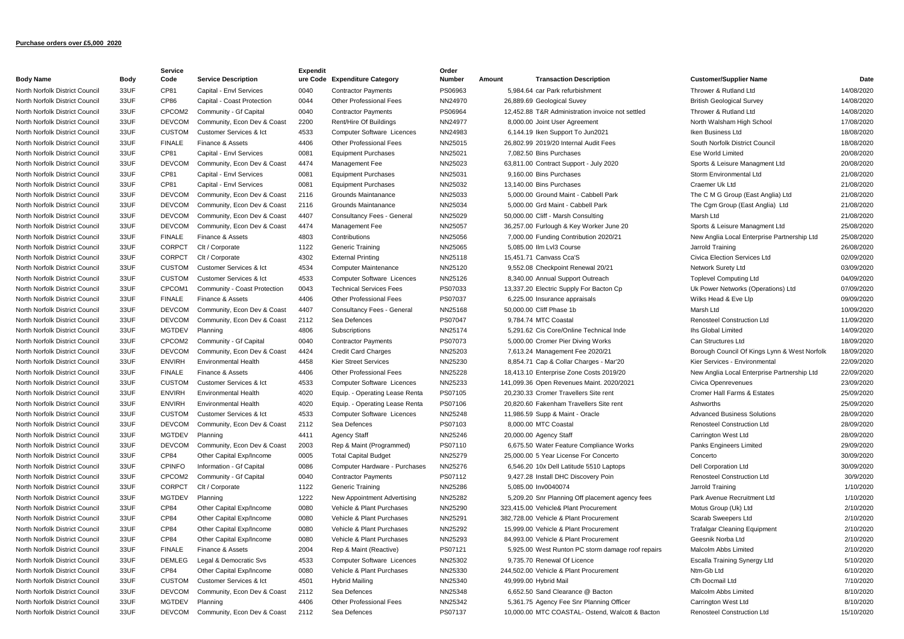|                                |             | Service       |                              | <b>Expendit</b> |                                | Order   |        |                                                   |                                              | Date       |
|--------------------------------|-------------|---------------|------------------------------|-----------------|--------------------------------|---------|--------|---------------------------------------------------|----------------------------------------------|------------|
| <b>Body Name</b>               | <b>Body</b> | Code          | <b>Service Description</b>   |                 | ure Code Expenditure Category  | Number  | Amount | <b>Transaction Description</b>                    | <b>Customer/Supplier Name</b>                |            |
| North Norfolk District Council | 33UF        | CP81          | Capital - Envl Services      | 0040            | <b>Contractor Payments</b>     | PS06963 |        | 5,984.64 car Park refurbishment                   | Thrower & Rutland Ltd                        | 14/08/2020 |
| North Norfolk District Council | 33UF        | CP86          | Capital - Coast Protection   | 0044            | <b>Other Professional Fees</b> | NN24970 |        | 26,889.69 Geological Suvey                        | <b>British Geological Survey</b>             | 14/08/2020 |
| North Norfolk District Council | 33UF        | CPCOM2        | Community - Gf Capital       | 0040            | <b>Contractor Payments</b>     | PS06964 |        | 12,452.88 T&R Administration invoice not settled  | Thrower & Rutland Ltd                        | 14/08/2020 |
| North Norfolk District Council | 33UF        | <b>DEVCOM</b> | Community, Econ Dev & Coast  | 2200            | Rent/Hire Of Buildings         | NN24977 |        | 8,000.00 Joint User Agreement                     | North Walsham High School                    | 17/08/2020 |
| North Norfolk District Council | 33UF        | <b>CUSTOM</b> | Customer Services & Ict      | 4533            | Computer Software Licences     | NN24983 |        | 6,144.19 Iken Support To Jun2021                  | Iken Business Ltd                            | 18/08/2020 |
| North Norfolk District Council | 33UF        | <b>FINALE</b> | Finance & Assets             | 4406            | <b>Other Professional Fees</b> | NN25015 |        | 26,802.99 2019/20 Internal Audit Fees             | South Norfolk District Council               | 18/08/2020 |
| North Norfolk District Council | 33UF        | CP81          | Capital - Envl Services      | 0081            | <b>Equipment Purchases</b>     | NN25021 |        | 7,082.50 Bins Purchases                           | Ese World Limited                            | 20/08/2020 |
| North Norfolk District Council | 33UF        | <b>DEVCOM</b> | Community, Econ Dev & Coast  | 4474            | Management Fee                 | NN25023 |        | 63,811.00 Contract Support - July 2020            | Sports & Leisure Managment Ltd               | 20/08/2020 |
| North Norfolk District Council | 33UF        | CP81          | Capital - Envl Services      | 0081            | <b>Equipment Purchases</b>     | NN25031 |        | 9,160.00 Bins Purchases                           | Storm Environmental Ltd                      | 21/08/2020 |
| North Norfolk District Council | 33UF        | CP81          | Capital - Envl Services      | 0081            | <b>Equipment Purchases</b>     | NN25032 |        | 13.140.00 Bins Purchases                          | Craemer Uk Ltd                               | 21/08/2020 |
| North Norfolk District Council | 33UF        | <b>DEVCOM</b> | Community, Econ Dev & Coast  | 2116            | Grounds Maintanance            | NN25033 |        | 5,000.00 Ground Maint - Cabbell Park              | The C M G Group (East Anglia) Ltd            | 21/08/2020 |
| North Norfolk District Council | 33UF        | <b>DEVCOM</b> | Community, Econ Dev & Coast  | 2116            | Grounds Maintanance            | NN25034 |        | 5,000.00 Grd Maint - Cabbell Park                 | The Cgm Group (East Anglia) Ltd              | 21/08/2020 |
| North Norfolk District Council | 33UF        | <b>DEVCOM</b> | Community, Econ Dev & Coast  | 4407            | Consultancy Fees - General     | NN25029 |        | 50,000.00 Cliff - Marsh Consulting                | Marsh Ltd                                    | 21/08/2020 |
| North Norfolk District Council | 33UF        | <b>DEVCOM</b> | Community, Econ Dev & Coast  | 4474            | Management Fee                 | NN25057 |        | 36,257.00 Furlough & Key Worker June 20           | Sports & Leisure Managment Ltd               | 25/08/2020 |
| North Norfolk District Council | 33UF        | <b>FINALE</b> | Finance & Assets             | 4803            | Contributions                  | NN25056 |        | 7,000.00 Funding Contribution 2020/21             | New Anglia Local Enterprise Partnership Ltd  | 25/08/2020 |
| North Norfolk District Council | 33UF        | CORPCT        | Clt / Corporate              | 1122            | Generic Training               | NN25065 |        | 5,085.00 Ilm LvI3 Course                          | Jarrold Training                             | 26/08/2020 |
| North Norfolk District Council | 33UF        | CORPCT        | Clt / Corporate              | 4302            | <b>External Printing</b>       | NN25118 |        | 15,451.71 Canvass Cca'S                           | Civica Election Services Ltd                 | 02/09/2020 |
| North Norfolk District Council | 33UF        | <b>CUSTOM</b> | Customer Services & Ict      | 4534            | <b>Computer Maintenance</b>    | NN25120 |        | 9,552.08 Checkpoint Renewal 20/21                 | Network Surety Ltd                           | 03/09/2020 |
| North Norfolk District Council | 33UF        | <b>CUSTOM</b> | Customer Services & Ict      | 4533            | Computer Software Licences     | NN25126 |        | 8,340.00 Annual Support Outreach                  | <b>Toplevel Computing Ltd</b>                | 04/09/2020 |
| North Norfolk District Council | 33UF        | CPCOM1        | Community - Coast Protection | 0043            | <b>Technical Services Fees</b> | PS07033 |        | 13,337.20 Electric Supply For Bacton Cp           | Uk Power Networks (Operations) Ltd           | 07/09/2020 |
| North Norfolk District Council | 33UF        | <b>FINALE</b> | Finance & Assets             | 4406            | <b>Other Professional Fees</b> | PS07037 |        | 6,225.00 Insurance appraisals                     | Wilks Head & Eve Llp                         | 09/09/2020 |
| North Norfolk District Council | 33UF        | <b>DEVCOM</b> | Community, Econ Dev & Coast  | 4407            | Consultancy Fees - General     | NN25168 |        | 50,000.00 Cliff Phase 1b                          | Marsh Ltd                                    | 10/09/2020 |
| North Norfolk District Council | 33UF        | <b>DEVCOM</b> | Community, Econ Dev & Coast  | 2112            | Sea Defences                   | PS07047 |        | 9.784.74 MTC Coastal                              | <b>Renosteel Construction Ltd</b>            | 11/09/2020 |
| North Norfolk District Council | 33UF        | <b>MGTDEV</b> | Planning                     | 4806            | Subscriptions                  | NN25174 |        | 5,291.62 Cis Core/Online Technical Inde           | Ihs Global Limited                           | 14/09/2020 |
|                                | 33UF        |               |                              |                 |                                |         |        |                                                   |                                              | 18/09/2020 |
| North Norfolk District Council |             | CPCOM2        | Community - Gf Capital       | 0040            | <b>Contractor Payments</b>     | PS07073 |        | 5,000.00 Cromer Pier Diving Works                 | Can Structures Ltd                           |            |
| North Norfolk District Council | 33UF        | <b>DEVCOM</b> | Community, Econ Dev & Coast  | 4424            | <b>Credit Card Charges</b>     | NN25203 |        | 7,613.24 Management Fee 2020/21                   | Borough Council Of Kings Lynn & West Norfolk | 18/09/2020 |
| North Norfolk District Council | 33UF        | <b>ENVIRH</b> | <b>Environmental Health</b>  | 4458            | <b>Kier Street Services</b>    | NN25230 |        | 8,854.71 Cap & Collar Charges - Mar'20            | Kier Services - Environmental                | 22/09/2020 |
| North Norfolk District Council | 33UF        | <b>FINALE</b> | Finance & Assets             | 4406            | Other Professional Fees        | NN25228 |        | 18,413.10 Enterprise Zone Costs 2019/20           | New Anglia Local Enterprise Partnership Ltd  | 22/09/2020 |
| North Norfolk District Council | 33UF        | <b>CUSTOM</b> | Customer Services & Ict      | 4533            | Computer Software Licences     | NN25233 |        | 141,099.36 Open Revenues Maint. 2020/2021         | Civica Openrevenues                          | 23/09/2020 |
| North Norfolk District Council | 33UF        | <b>ENVIRH</b> | <b>Environmental Health</b>  | 4020            | Equip. - Operating Lease Renta | PS07105 |        | 20,230.33 Cromer Travellers Site rent             | Cromer Hall Farms & Estates                  | 25/09/2020 |
| North Norfolk District Council | 33UF        | <b>ENVIRH</b> | <b>Environmental Health</b>  | 4020            | Equip. - Operating Lease Renta | PS07106 |        | 20,820.60 Fakenham Travellers Site rent           | Ashworths                                    | 25/09/2020 |
| North Norfolk District Council | 33UF        | <b>CUSTOM</b> | Customer Services & Ict      | 4533            | Computer Software Licences     | NN25248 |        | 11,986.59 Supp & Maint - Oracle                   | <b>Advanced Business Solutions</b>           | 28/09/2020 |
| North Norfolk District Council | 33UF        | <b>DEVCOM</b> | Community, Econ Dev & Coast  | 2112            | Sea Defences                   | PS07103 |        | 8,000.00 MTC Coastal                              | <b>Renosteel Construction Ltd</b>            | 28/09/2020 |
| North Norfolk District Council | 33UF        | <b>MGTDEV</b> | Planning                     | 4411            | <b>Agency Staff</b>            | NN25246 |        | 20,000.00 Agency Staff                            | Carrington West Ltd                          | 28/09/2020 |
| North Norfolk District Council | 33UF        | <b>DEVCOM</b> | Community, Econ Dev & Coast  | 2003            | Rep & Maint (Programmed)       | PS07110 |        | 6,675.50 Water Feature Compliance Works           | Panks Engineers Limited                      | 29/09/2020 |
| North Norfolk District Council | 33UF        | CP84          | Other Capital Exp/Income     | 0005            | <b>Total Capital Budget</b>    | NN25279 |        | 25,000.00 5 Year License For Concerto             | Concerto                                     | 30/09/2020 |
| North Norfolk District Council | 33UF        | <b>CPINFO</b> | Information - Gf Capital     | 0086            | Computer Hardware - Purchases  | NN25276 |        | 6,546.20 10x Dell Latitude 5510 Laptops           | Dell Corporation Ltd                         | 30/09/2020 |
| North Norfolk District Council | 33UF        | CPCOM2        | Community - Gf Capital       | 0040            | <b>Contractor Payments</b>     | PS07112 |        | 9,427.28 Install DHC Discovery Poin               | Renosteel Construction Ltd                   | 30/9/2020  |
| North Norfolk District Council | 33UF        | CORPCT        | Clt / Corporate              | 1122            | <b>Generic Training</b>        | NN25286 |        | 5,085.00 Inv0040074                               | Jarrold Training                             | 1/10/2020  |
| North Norfolk District Council | 33UF        | <b>MGTDEV</b> | Planning                     | 1222            | New Appointment Advertising    | NN25282 |        | 5,209.20 Snr Planning Off placement agency fees   | Park Avenue Recruitment Ltd                  | 1/10/2020  |
| North Norfolk District Council | 33UF        | CP84          | Other Capital Exp/Income     | 0080            | Vehicle & Plant Purchases      | NN25290 |        | 323,415.00 Vehicle& Plant Procurement             | Motus Group (Uk) Ltd                         | 2/10/2020  |
| North Norfolk District Council | 33UF        | CP84          | Other Capital Exp/Income     | 0080            | Vehicle & Plant Purchases      | NN25291 |        | 382.728.00 Vehicle & Plant Procurement            | Scarab Sweepers Ltd                          | 2/10/2020  |
| North Norfolk District Council | 33UF        | CP84          | Other Capital Exp/Income     | 0080            | Vehicle & Plant Purchases      | NN25292 |        | 15,999.00 Vehicle & Plant Procurement             | <b>Trafalgar Cleaning Equipment</b>          | 2/10/2020  |
| North Norfolk District Council | 33UF        | CP84          | Other Capital Exp/Income     | 0080            | Vehicle & Plant Purchases      | NN25293 |        | 84,993.00 Vehicle & Plant Procurement             | Geesnik Norba Ltd                            | 2/10/2020  |
| North Norfolk District Council | 33UF        | <b>FINALE</b> | Finance & Assets             | 2004            | Rep & Maint (Reactive)         | PS07121 |        | 5,925.00 West Runton PC storm damage roof repairs | Malcolm Abbs Limited                         | 2/10/2020  |
| North Norfolk District Council | 33UF        | <b>DEMLEG</b> | Legal & Democratic Svs       | 4533            | Computer Software Licences     | NN25302 |        | 9,735.70 Renewal Of Licence                       | Escalla Training Synergy Ltd                 | 5/10/2020  |
| North Norfolk District Council | 33UF        | CP84          | Other Capital Exp/Income     | 0080            | Vehicle & Plant Purchases      | NN25330 |        | 244,502.00 Vehicle & Plant Procurement            | Ntm-Gb Ltd                                   | 6/10/2020  |
| North Norfolk District Council | 33UF        | <b>CUSTOM</b> | Customer Services & Ict      | 4501            | <b>Hybrid Mailing</b>          | NN25340 |        | 49,999.00 Hybrid Mail                             | Cfh Docmail Ltd                              | 7/10/2020  |
| North Norfolk District Council | 33UF        | <b>DEVCOM</b> | Community, Econ Dev & Coast  | 2112            | Sea Defences                   | NN25348 |        | 6,652.50 Sand Clearance @ Bacton                  | Malcolm Abbs Limited                         | 8/10/2020  |
| North Norfolk District Council | 33UF        | <b>MGTDEV</b> | Planning                     | 4406            | <b>Other Professional Fees</b> | NN25342 |        | 5,361.75 Agency Fee Snr Planning Officer          | <b>Carrington West Ltd</b>                   | 8/10/2020  |
| North Norfolk District Council | 33UF        | <b>DEVCOM</b> | Community, Econ Dev & Coast  | 2112            | Sea Defences                   | PS07137 |        | 10,000.00 MTC COASTAL- Ostend, Walcott & Bacton   | <b>Renosteel Construction Ltd</b>            | 15/10/2020 |
|                                |             |               |                              |                 |                                |         |        |                                                   |                                              |            |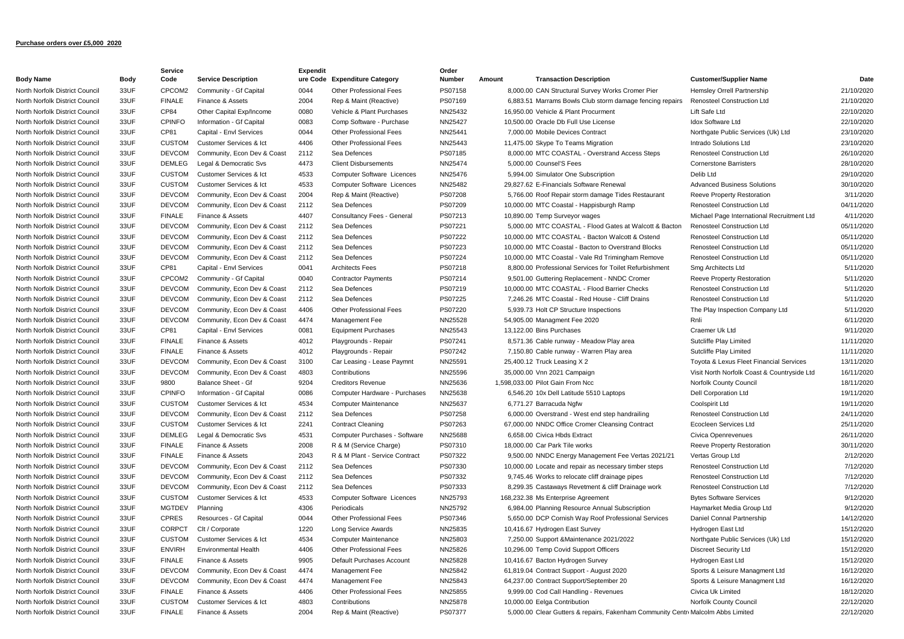|                                |             | Service       |                             | <b>Expendit</b> |                                                          | Order   |        |                                                                                                    |                                             |            |
|--------------------------------|-------------|---------------|-----------------------------|-----------------|----------------------------------------------------------|---------|--------|----------------------------------------------------------------------------------------------------|---------------------------------------------|------------|
| <b>Body Name</b>               | <b>Body</b> | Code          | <b>Service Description</b>  |                 | ure Code Expenditure Category                            | Number  | Amount | <b>Transaction Description</b>                                                                     | <b>Customer/Supplier Name</b>               | Date       |
| North Norfolk District Council | 33UF        | CPCOM2        | Community - Gf Capital      | 0044            | <b>Other Professional Fees</b>                           | PS07158 |        | 8,000.00 CAN Structural Survey Works Cromer Pier                                                   | Hemsley Orrell Partnership                  | 21/10/2020 |
| North Norfolk District Council | 33UF        | <b>FINALE</b> | Finance & Assets            | 2004            | Rep & Maint (Reactive)                                   | PS07169 |        | 6,883.51 Marrams Bowls Club storm damage fencing repairs                                           | <b>Renosteel Construction Ltd</b>           | 21/10/2020 |
| North Norfolk District Council | 33UF        | CP84          | Other Capital Exp/Income    | 0080            | Vehicle & Plant Purchases                                | NN25432 |        | 16,950.00 Vehicle & Plant Procurment                                                               | Lift Safe Ltd                               | 22/10/2020 |
| North Norfolk District Council | 33UF        | <b>CPINFO</b> | Information - Gf Capital    | 0083            | Comp Software - Purchase                                 | NN25427 |        | 10,500.00 Oracle Db Full Use License                                                               | Idox Software Ltd                           | 22/10/2020 |
| North Norfolk District Council | 33UF        | CP81          | Capital - Envl Services     | 0044            | <b>Other Professional Fees</b>                           | NN25441 |        | 7,000.00 Mobile Devices Contract                                                                   | Northgate Public Services (Uk) Ltd          | 23/10/2020 |
| North Norfolk District Council | 33UF        | <b>CUSTOM</b> | Customer Services & Ict     | 4406            | <b>Other Professional Fees</b>                           | NN25443 |        | 11,475.00 Skype To Teams Migration                                                                 | Intrado Solutions Ltd                       | 23/10/2020 |
| North Norfolk District Council | 33UF        | <b>DEVCOM</b> | Community, Econ Dev & Coast | 2112            | Sea Defences                                             | PS07185 |        | 8,000.00 MTC COASTAL - Overstrand Access Steps                                                     | <b>Renosteel Construction Ltd</b>           | 26/10/2020 |
| North Norfolk District Council | 33UF        | <b>DEMLEG</b> | Legal & Democratic Svs      | 4473            | <b>Client Disbursements</b>                              | NN25474 |        | 5,000.00 Counsel'S Fees                                                                            | <b>Cornerstone Barristers</b>               | 28/10/2020 |
| North Norfolk District Council | 33UF        | <b>CUSTOM</b> | Customer Services & Ict     | 4533            | <b>Computer Software Licences</b>                        | NN25476 |        | 5,994.00 Simulator One Subscription                                                                | Delib Ltd                                   | 29/10/2020 |
| North Norfolk District Council | 33UF        | <b>CUSTOM</b> | Customer Services & Ict     | 4533            | Computer Software Licences                               | NN25482 |        | 29,827.62 E-Financials Software Renewal                                                            | <b>Advanced Business Solutions</b>          | 30/10/2020 |
| North Norfolk District Council | 33UF        | <b>DEVCOM</b> | Community, Econ Dev & Coast | 2004            | Rep & Maint (Reactive)                                   | PS07208 |        | 5,766.00 Roof Repair storm damage Tides Restaurant                                                 | <b>Reeve Property Restoration</b>           | 3/11/2020  |
| North Norfolk District Council | 33UF        | <b>DEVCOM</b> | Community, Econ Dev & Coast | 2112            | Sea Defences                                             | PS07209 |        | 10,000.00 MTC Coastal - Happisburgh Ramp                                                           | <b>Renosteel Construction Ltd</b>           | 04/11/2020 |
| North Norfolk District Council | 33UF        | <b>FINALE</b> | Finance & Assets            | 4407            | Consultancy Fees - General                               | PS07213 |        | 10,890.00 Temp Surveyor wages                                                                      | Michael Page International Recruitment Ltd  | 4/11/2020  |
| North Norfolk District Council | 33UF        | <b>DEVCOM</b> | Community, Econ Dev & Coast | 2112            | Sea Defences                                             | PS07221 |        | 5,000.00 MTC COASTAL - Flood Gates at Walcott & Bacton                                             | <b>Renosteel Construction Ltd</b>           | 05/11/2020 |
| North Norfolk District Council | 33UF        | <b>DEVCOM</b> | Community, Econ Dev & Coast | 2112            | Sea Defences                                             | PS07222 |        | 10,000.00 MTC COASTAL - Bacton Walcott & Ostend                                                    | <b>Renosteel Construction Ltd</b>           | 05/11/2020 |
| North Norfolk District Council | 33UF        | <b>DEVCOM</b> | Community, Econ Dev & Coast | 2112            | Sea Defences                                             | PS07223 |        | 10,000.00 MTC Coastal - Bacton to Overstrand Blocks                                                | <b>Renosteel Construction Ltd</b>           | 05/11/2020 |
| North Norfolk District Council | 33UF        | <b>DEVCOM</b> | Community, Econ Dev & Coast | 2112            | Sea Defences                                             | PS07224 |        | 10,000.00 MTC Coastal - Vale Rd Trimingham Remove                                                  | <b>Renosteel Construction Ltd</b>           | 05/11/2020 |
| North Norfolk District Council | 33UF        | CP81          | Capital - Envl Services     | 0041            | <b>Architects Fees</b>                                   | PS07218 |        | 8,800.00 Professional Services for Toilet Refurbishment                                            | Smg Architects Ltd                          | 5/11/2020  |
| North Norfolk District Council | 33UF        | CPCOM2        | Community - Gf Capital      | 0040            | <b>Contractor Payments</b>                               | PS07214 |        | 9,501.00 Guttering Replacement - NNDC Cromer                                                       | Reeve Property Restoration                  | 5/11/2020  |
| North Norfolk District Council | 33UF        | <b>DEVCOM</b> | Community, Econ Dev & Coast | 2112            | Sea Defences                                             | PS07219 |        | 10,000.00 MTC COASTAL - Flood Barrier Checks                                                       | <b>Renosteel Construction Ltd</b>           | 5/11/2020  |
| North Norfolk District Council | 33UF        | <b>DEVCOM</b> | Community, Econ Dev & Coast | 2112            | Sea Defences                                             | PS07225 |        | 7,246.26 MTC Coastal - Red House - Cliff Drains                                                    | Renosteel Construction Ltd                  | 5/11/2020  |
| North Norfolk District Council | 33UF        | <b>DEVCOM</b> | Community, Econ Dev & Coast | 4406            | <b>Other Professional Fees</b>                           | PS07220 |        | 5,939.73 Holt CP Structure Inspections                                                             | The Play Inspection Company Ltd             | 5/11/2020  |
| North Norfolk District Council | 33UF        | <b>DEVCOM</b> | Community, Econ Dev & Coast | 4474            | Management Fee                                           | NN25528 |        | 54,905.00 Managment Fee 2020                                                                       | Rnli                                        | 6/11/2020  |
| North Norfolk District Council | 33UF        | CP81          | Capital - Envl Services     | 0081            | <b>Equipment Purchases</b>                               | NN25543 |        | 13,122.00 Bins Purchases                                                                           | Craemer Uk Ltd                              | 9/11/2020  |
| North Norfolk District Council | 33UF        | <b>FINALE</b> | Finance & Assets            | 4012            | Playgrounds - Repair                                     | PS07241 |        | 8,571.36 Cable runway - Meadow Play area                                                           | Sutcliffe Play Limited                      | 11/11/2020 |
| North Norfolk District Council | 33UF        | <b>FINALE</b> | Finance & Assets            | 4012            | Playgrounds - Repair                                     | PS07242 |        | 7,150.80 Cable runway - Warren Play area                                                           | Sutcliffe Play Limited                      | 11/11/2020 |
| North Norfolk District Council | 33UF        | <b>DEVCOM</b> | Community, Econ Dev & Coast | 3100            | Car Leasing - Lease Paymnt                               | NN25591 |        | 25,400.12 Truck Leasing X 2                                                                        | Toyota & Lexus Fleet Financial Services     | 13/11/2020 |
| North Norfolk District Council | 33UF        | <b>DEVCOM</b> | Community, Econ Dev & Coast | 4803            | Contributions                                            | NN25596 |        | 35,000.00 Vnn 2021 Campaign                                                                        | Visit North Norfolk Coast & Countryside Ltd | 16/11/2020 |
| North Norfolk District Council | 33UF        | 9800          | Balance Sheet - Gf          | 9204            | <b>Creditors Revenue</b>                                 | NN25636 |        | 1,598,033.00 Pilot Gain From Ncc                                                                   | <b>Norfolk County Council</b>               | 18/11/2020 |
| North Norfolk District Council | 33UF        | CPINFO        | Information - Gf Capital    | 0086            | Computer Hardware - Purchases                            | NN25638 |        | 6,546.20 10x Dell Latitude 5510 Laptops                                                            | Dell Corporation Ltd                        | 19/11/2020 |
| North Norfolk District Council | 33UF        | <b>CUSTOM</b> | Customer Services & Ict     | 4534            | <b>Computer Maintenance</b>                              | NN25637 |        | 6,771.27 Barracuda Ngfw                                                                            | Coolspirit Ltd                              | 19/11/2020 |
| North Norfolk District Council | 33UF        | <b>DEVCOM</b> | Community, Econ Dev & Coast | 2112            | Sea Defences                                             | PS07258 |        |                                                                                                    | <b>Renosteel Construction Ltd</b>           | 24/11/2020 |
| North Norfolk District Council | 33UF        | <b>CUSTOM</b> | Customer Services & Ict     | 2241            | <b>Contract Cleaning</b>                                 | PS07263 |        | 6,000.00 Overstrand - West end step handrailing<br>67,000.00 NNDC Office Cromer Cleansing Contract | Ecocleen Services Ltd                       | 25/11/2020 |
| North Norfolk District Council | 33UF        | <b>DEMLEG</b> | Legal & Democratic Svs      | 4531            | Computer Purchases - Software                            | NN25688 |        | 6,658.00 Civica Hbds Extract                                                                       | Civica Openrevenues                         | 26/11/2020 |
| North Norfolk District Council | 33UF        | <b>FINALE</b> | Finance & Assets            | 2008            |                                                          | PS07310 |        |                                                                                                    | <b>Reeve Property Restoration</b>           | 30/11/2020 |
| North Norfolk District Council | 33UF        | <b>FINALE</b> | Finance & Assets            | 2043            | R & M (Service Charge)<br>R & M Plant - Service Contract | PS07322 |        | 18,000.00 Car Park Tile works                                                                      |                                             | 2/12/2020  |
|                                | 33UF        | <b>DEVCOM</b> |                             |                 |                                                          | PS07330 |        | 9,500.00 NNDC Energy Management Fee Vertas 2021/21                                                 | Vertas Group Ltd                            | 7/12/2020  |
| North Norfolk District Council |             |               | Community, Econ Dev & Coast | 2112<br>2112    | Sea Defences                                             |         |        | 10,000.00 Locate and repair as necessary timber steps                                              | <b>Renosteel Construction Ltd</b>           |            |
| North Norfolk District Council | 33UF        | <b>DEVCOM</b> | Community, Econ Dev & Coast |                 | Sea Defences                                             | PS07332 |        | 9,745.46 Works to relocate cliff drainage pipes                                                    | <b>Renosteel Construction Ltd</b>           | 7/12/2020  |
| North Norfolk District Council | 33UF        | <b>DEVCOM</b> | Community, Econ Dev & Coast | 2112            | Sea Defences                                             | PS07333 |        | 8,299.35 Castaways Revetment & cliff Drainage work                                                 | <b>Renosteel Construction Ltd</b>           | 7/12/2020  |
| North Norfolk District Council | 33UF        | <b>CUSTOM</b> | Customer Services & Ict     | 4533            | Computer Software Licences                               | NN25793 |        | 168,232.38 Ms Enterprise Agreement                                                                 | <b>Bytes Software Services</b>              | 9/12/2020  |
| North Norfolk District Council | 33UF        | <b>MGTDEV</b> | Planning                    | 4306            | Periodicals                                              | NN25792 |        | 6,984.00 Planning Resource Annual Subscription                                                     | Haymarket Media Group Ltd                   | 9/12/2020  |
| North Norfolk District Council | 33UF        | <b>CPRES</b>  | Resources - Gf Capital      | 0044            | <b>Other Professional Fees</b>                           | PS07346 |        | 5,650.00 DCP Cornish Way Roof Professional Services                                                | Daniel Connal Partnership                   | 14/12/2020 |
| North Norfolk District Council | 33UF        | <b>CORPCT</b> | Clt / Corporate             | 1220            | Long Service Awards                                      | NN25835 |        | 10,416.67 Hydrogen East Survey                                                                     | Hydrogen East Ltd                           | 15/12/2020 |
| North Norfolk District Council | 33UF        | <b>CUSTOM</b> | Customer Services & Ict     | 4534            | <b>Computer Maintenance</b>                              | NN25803 |        | 7,250.00 Support & Maintenance 2021/2022                                                           | Northgate Public Services (Uk) Ltd          | 15/12/2020 |
| North Norfolk District Council | 33UF        | <b>ENVIRH</b> | <b>Environmental Health</b> | 4406            | <b>Other Professional Fees</b>                           | NN25826 |        | 10,296.00 Temp Covid Support Officers                                                              | <b>Discreet Security Ltd</b>                | 15/12/2020 |
| North Norfolk District Council | 33UF        | <b>FINALE</b> | Finance & Assets            | 9905            | Default Purchases Account                                | NN25828 |        | 10,416.67 Bacton Hydrogen Survey                                                                   | Hydrogen East Ltd                           | 15/12/2020 |
| North Norfolk District Council | 33UF        | <b>DEVCOM</b> | Community, Econ Dev & Coast | 4474            | Management Fee                                           | NN25842 |        | 61,819.04 Contract Support - August 2020                                                           | Sports & Leisure Managment Ltd              | 16/12/2020 |
| North Norfolk District Council | 33UF        | <b>DEVCOM</b> | Community, Econ Dev & Coast | 4474            | Management Fee                                           | NN25843 |        | 64,237.00 Contract Support/September 20                                                            | Sports & Leisure Managment Ltd              | 16/12/2020 |
| North Norfolk District Council | 33UF        | <b>FINALE</b> | Finance & Assets            | 4406            | <b>Other Professional Fees</b>                           | NN25855 |        | 9,999.00 Cod Call Handling - Revenues                                                              | Civica Uk Limited                           | 18/12/2020 |
| North Norfolk District Council | 33UF        | <b>CUSTOM</b> | Customer Services & Ict     | 4803            | Contributions                                            | NN25878 |        | 10,000.00 Eelga Contribution                                                                       | Norfolk County Council                      | 22/12/2020 |
| North Norfolk District Council | 33UF        | <b>FINALE</b> | Finance & Assets            | 2004            | Rep & Maint (Reactive)                                   | PS07377 |        | 5,000.00 Clear Gutters & repairs, Fakenham Community Centr Malcolm Abbs Limited                    |                                             | 22/12/2020 |